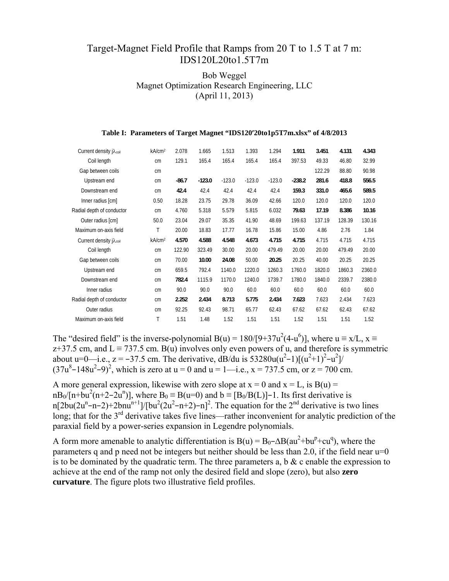## Target-Magnet Field Profile that Ramps from 20 T to 1.5 T at 7 m: IDS120L20to1.5T7m

## Bob Weggel Magnet Optimization Research Engineering, LLC (April 11, 2013)

| Current density j $\lambda_{\text{coil}}$ | kA/cm <sup>2</sup> | 2.078   | 1.665    | 1.513    | 1.393    | 1.294    | 1.911    | 3.451  | 4.131  | 4.343  |
|-------------------------------------------|--------------------|---------|----------|----------|----------|----------|----------|--------|--------|--------|
| Coil length                               | cm                 | 129.1   | 165.4    | 165.4    | 165.4    | 165.4    | 397.53   | 49.33  | 46.80  | 32.99  |
| Gap between coils                         | cm                 |         |          |          |          |          |          | 122.29 | 88.80  | 90.98  |
| Upstream end                              | cm                 | $-86.7$ | $-123.0$ | $-123.0$ | $-123.0$ | $-123.0$ | $-238.2$ | 281.6  | 418.8  | 556.5  |
| Downstream end                            | cm                 | 42.4    | 42.4     | 42.4     | 42.4     | 42.4     | 159.3    | 331.0  | 465.6  | 589.5  |
| Inner radius [cm]                         | 0.50               | 18.28   | 23.75    | 29.78    | 36.09    | 42.66    | 120.0    | 120.0  | 120.0  | 120.0  |
| Radial depth of conductor                 | cm                 | 4.760   | 5.318    | 5.579    | 5.815    | 6.032    | 79.63    | 17.19  | 8.386  | 10.16  |
| Outer radius [cm]                         | 50.0               | 23.04   | 29.07    | 35.35    | 41.90    | 48.69    | 199.63   | 137.19 | 128.39 | 130.16 |
| Maximum on-axis field                     | Τ                  | 20.00   | 18.83    | 17.77    | 16.78    | 15.86    | 15.00    | 4.86   | 2.76   | 1.84   |
| Current density j $\lambda_{\text{coil}}$ | kA/cm <sup>2</sup> | 4.570   | 4.588    | 4.548    | 4.673    | 4.715    | 4.715    | 4.715  | 4.715  | 4.715  |
| Coil length                               | cm                 | 122.90  | 323.49   | 30.00    | 20.00    | 479.49   | 20.00    | 20.00  | 479.49 | 20.00  |
| Gap between coils                         | cm                 | 70.00   | 10.00    | 24.08    | 50.00    | 20.25    | 20.25    | 40.00  | 20.25  | 20.25  |
| Upstream end                              | cm                 | 659.5   | 792.4    | 1140.0   | 1220.0   | 1260.3   | 1760.0   | 1820.0 | 1860.3 | 2360.0 |
| Downstream end                            | cm                 | 782.4   | 1115.9   | 1170.0   | 1240.0   | 1739.7   | 1780.0   | 1840.0 | 2339.7 | 2380.0 |
| Inner radius                              | cm                 | 90.0    | 90.0     | 90.0     | 60.0     | 60.0     | 60.0     | 60.0   | 60.0   | 60.0   |
| Radial depth of conductor                 | cm                 | 2.252   | 2.434    | 8.713    | 5.775    | 2.434    | 7.623    | 7.623  | 2.434  | 7.623  |
| Outer radius                              | cm                 | 92.25   | 92.43    | 98.71    | 65.77    | 62.43    | 67.62    | 67.62  | 62.43  | 67.62  |
| Maximum on-axis field                     | Τ                  | 1.51    | 1.48     | 1.52     | 1.51     | 1.51     | 1.52     | 1.51   | 1.51   | 1.52   |
|                                           |                    |         |          |          |          |          |          |        |        |        |

## **Table I: Parameters of Target Magnet "IDS120'20to1p5T7m.xlsx" of 4/8/2013**

The "desired field" is the inverse-polynomial B(u) =  $180/[9+37u^2(4-u^6)]$ , where  $u \equiv x/L$ ,  $x \equiv$ z+37.5 cm, and  $L \equiv 737.5$  cm. B(u) involves only even powers of u, and therefore is symmetric about u=0—i.e., z = -37.5 cm. The derivative, dB/du is  $53280u(u^2-1)[(u^2+1)^2-u^2]$ /  $(37u^8 - 148u^2 - 9)^2$ , which is zero at u = 0 and u = 1—i.e., x = 737.5 cm, or z = 700 cm.

A more general expression, likewise with zero slope at  $x = 0$  and  $x = L$ , is  $B(u) =$  $nB_0/[n+bu^2(n+2-2u^n)]$ , where  $B_0 \equiv B(u=0)$  and  $b \equiv [B_0/B(L)]-1$ . Its first derivative is n[2bu(2u<sup>n</sup>-n-2)+2bnu<sup>n+1</sup>]/[bu<sup>2</sup>(2u<sup>2</sup>-n+2)-n]<sup>2</sup>. The equation for the 2<sup>nd</sup> derivative is two lines long; that for the  $3<sup>rd</sup>$  derivative takes five lines—rather inconvenient for analytic prediction of the paraxial field by a power-series expansion in Legendre polynomials.

A form more amenable to analytic differentiation is  $B(u) = B_0 - \Delta B(au^2 + bu^p + cu^q)$ , where the parameters q and p need not be integers but neither should be less than 2.0, if the field near  $u=0$ is to be dominated by the quadratic term. The three parameters a, b  $\&$  c enable the expression to achieve at the end of the ramp not only the desired field and slope (zero), but also **zero curvature**. The figure plots two illustrative field profiles.